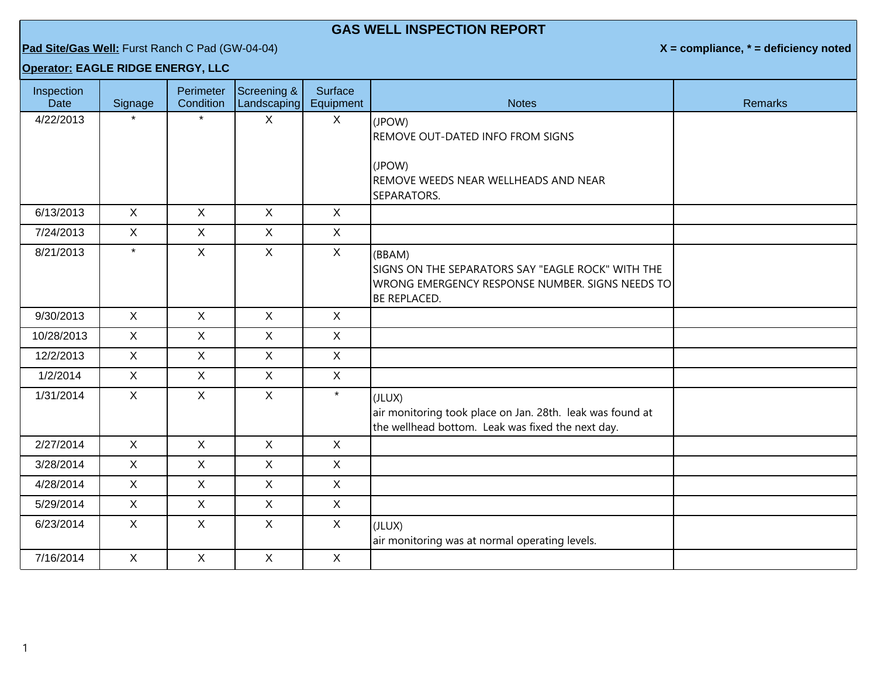## **GAS WELL INSPECTION REPORT**

## **Pad Site/Gas Well:** Furst Ranch C Pad (GW-04-04) **X = compliance, \* = deficiency noted**

## **Operator: EAGLE RIDGE ENERGY, LLC**

| Inspection<br><b>Date</b> | Signage      | Perimeter<br>Condition | Screening &<br>Landscaping | <b>Surface</b><br>Equipment | <b>Notes</b>                                                                                                                          | <b>Remarks</b> |
|---------------------------|--------------|------------------------|----------------------------|-----------------------------|---------------------------------------------------------------------------------------------------------------------------------------|----------------|
| 4/22/2013                 |              |                        | $\mathsf{X}$               | $\mathsf{X}$                | (JPOW)                                                                                                                                |                |
|                           |              |                        |                            |                             | REMOVE OUT-DATED INFO FROM SIGNS                                                                                                      |                |
|                           |              |                        |                            |                             | (JPOW)<br>REMOVE WEEDS NEAR WELLHEADS AND NEAR<br>SEPARATORS.                                                                         |                |
| 6/13/2013                 | X            | $\mathsf{X}$           | $\mathsf{X}$               | X                           |                                                                                                                                       |                |
| 7/24/2013                 | $\mathsf{X}$ | $\mathsf{X}$           | $\mathsf{X}$               | $\mathsf{X}$                |                                                                                                                                       |                |
| 8/21/2013                 | $\star$      | $\mathsf{X}$           | $\mathsf{X}$               | X                           | (BBAM)<br>SIGNS ON THE SEPARATORS SAY "EAGLE ROCK" WITH THE<br>WRONG EMERGENCY RESPONSE NUMBER. SIGNS NEEDS TO<br><b>BE REPLACED.</b> |                |
| 9/30/2013                 | $\mathsf{X}$ | $\mathsf{X}$           | $\mathsf{X}$               | $\sf X$                     |                                                                                                                                       |                |
| 10/28/2013                | X            | $\mathsf{X}$           | $\mathsf{X}$               | $\mathsf{X}$                |                                                                                                                                       |                |
| 12/2/2013                 | $\mathsf{X}$ | X                      | $\mathsf{X}$               | $\mathsf{X}$                |                                                                                                                                       |                |
| 1/2/2014                  | $\mathsf{X}$ | $\mathsf{X}$           | $\mathsf{X}$               | $\mathsf{X}$                |                                                                                                                                       |                |
| 1/31/2014                 | $\mathsf{X}$ | $\mathsf{X}$           | $\mathsf{X}$               | $\star$                     | (JLUX)<br>air monitoring took place on Jan. 28th. leak was found at<br>the wellhead bottom. Leak was fixed the next day.              |                |
| 2/27/2014                 | X            | $\mathsf{X}$           | $\mathsf{X}$               | $\sf X$                     |                                                                                                                                       |                |
| 3/28/2014                 | $\mathsf{X}$ | $\mathsf{X}$           | $\mathsf{X}$               | $\mathsf{X}$                |                                                                                                                                       |                |
| 4/28/2014                 | $\mathsf{X}$ | $\mathsf{X}$           | $\mathsf{X}$               | $\mathsf{X}$                |                                                                                                                                       |                |
| 5/29/2014                 | $\mathsf{X}$ | $\mathsf{X}$           | $\mathsf{X}$               | $\mathsf{X}$                |                                                                                                                                       |                |
| 6/23/2014                 | $\mathsf{X}$ | $\mathsf{X}$           | $\mathsf{X}$               | $\mathsf{X}$                | (JLUX)<br>air monitoring was at normal operating levels.                                                                              |                |
| 7/16/2014                 | $\mathsf{X}$ | $\mathsf{X}$           | $\mathsf{X}$               | $\mathsf{X}$                |                                                                                                                                       |                |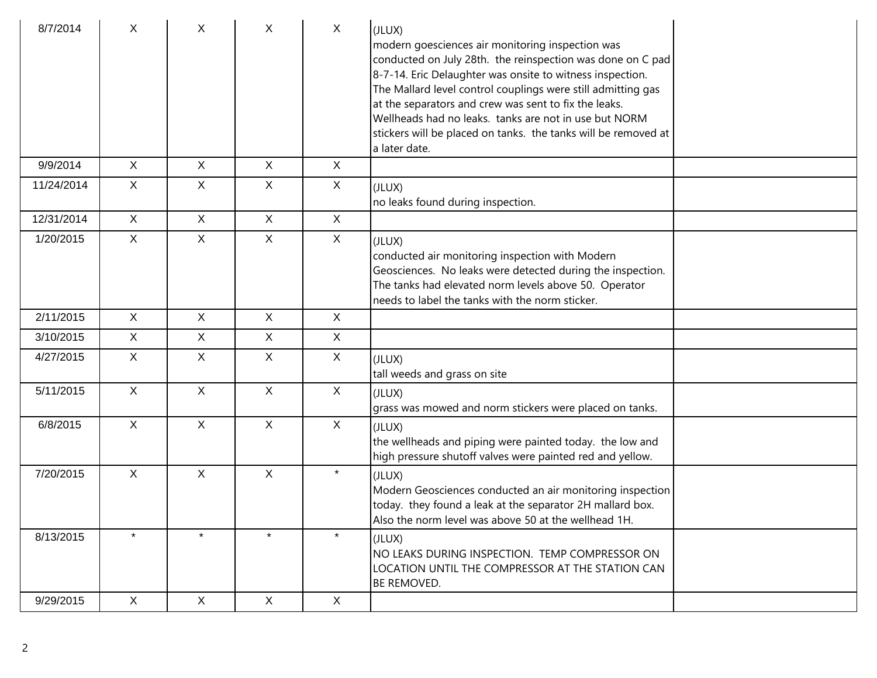| 8/7/2014   | X            | X            | X            | $\mathsf{X}$ | (JLUX)<br>modern goesciences air monitoring inspection was<br>conducted on July 28th. the reinspection was done on C pad<br>8-7-14. Eric Delaughter was onsite to witness inspection.<br>The Mallard level control couplings were still admitting gas<br>at the separators and crew was sent to fix the leaks.<br>Wellheads had no leaks. tanks are not in use but NORM<br>stickers will be placed on tanks. the tanks will be removed at<br>a later date. |  |
|------------|--------------|--------------|--------------|--------------|------------------------------------------------------------------------------------------------------------------------------------------------------------------------------------------------------------------------------------------------------------------------------------------------------------------------------------------------------------------------------------------------------------------------------------------------------------|--|
| 9/9/2014   | $\mathsf{X}$ | $\mathsf{X}$ | $\mathsf{X}$ | $\mathsf{X}$ |                                                                                                                                                                                                                                                                                                                                                                                                                                                            |  |
| 11/24/2014 | $\mathsf{X}$ | $\mathsf{X}$ | $\mathsf{X}$ | $\mathsf{X}$ | (JLUX)<br>no leaks found during inspection.                                                                                                                                                                                                                                                                                                                                                                                                                |  |
| 12/31/2014 | $\mathsf{X}$ | $\mathsf{X}$ | X            | X            |                                                                                                                                                                                                                                                                                                                                                                                                                                                            |  |
| 1/20/2015  | $\mathsf{X}$ | X.           | X            | X            | (JLUX)<br>conducted air monitoring inspection with Modern<br>Geosciences. No leaks were detected during the inspection.<br>The tanks had elevated norm levels above 50. Operator<br>needs to label the tanks with the norm sticker.                                                                                                                                                                                                                        |  |
| 2/11/2015  | X            | X            | X            | $\mathsf{X}$ |                                                                                                                                                                                                                                                                                                                                                                                                                                                            |  |
| 3/10/2015  | $\mathsf{X}$ | $\mathsf{X}$ | X            | $\mathsf{X}$ |                                                                                                                                                                                                                                                                                                                                                                                                                                                            |  |
| 4/27/2015  | $\mathsf{X}$ | $\mathsf{X}$ | $\mathsf{X}$ | $\mathsf{X}$ | (JLUX)<br>tall weeds and grass on site                                                                                                                                                                                                                                                                                                                                                                                                                     |  |
| 5/11/2015  | $\mathsf{X}$ | $\mathsf{X}$ | $\mathsf{X}$ | X            | (JLUX)<br>grass was mowed and norm stickers were placed on tanks.                                                                                                                                                                                                                                                                                                                                                                                          |  |
| 6/8/2015   | $\mathsf{X}$ | $\mathsf{X}$ | $\mathsf{X}$ | $\mathsf{X}$ | (JLUX)<br>the wellheads and piping were painted today. the low and<br>high pressure shutoff valves were painted red and yellow.                                                                                                                                                                                                                                                                                                                            |  |
| 7/20/2015  | $\mathsf{X}$ | X            | $\mathsf{X}$ | $\star$      | (JLUX)<br>Modern Geosciences conducted an air monitoring inspection<br>today. they found a leak at the separator 2H mallard box.<br>Also the norm level was above 50 at the wellhead 1H.                                                                                                                                                                                                                                                                   |  |
| 8/13/2015  | $\star$      | $\star$      | $\star$      | $\star$      | (JLUX)<br>INO LEAKS DURING INSPECTION. TEMP COMPRESSOR ON<br>LOCATION UNTIL THE COMPRESSOR AT THE STATION CAN<br><b>BE REMOVED.</b>                                                                                                                                                                                                                                                                                                                        |  |
| 9/29/2015  | $\mathsf{X}$ | $\mathsf{X}$ | $\mathsf{X}$ | $\mathsf{X}$ |                                                                                                                                                                                                                                                                                                                                                                                                                                                            |  |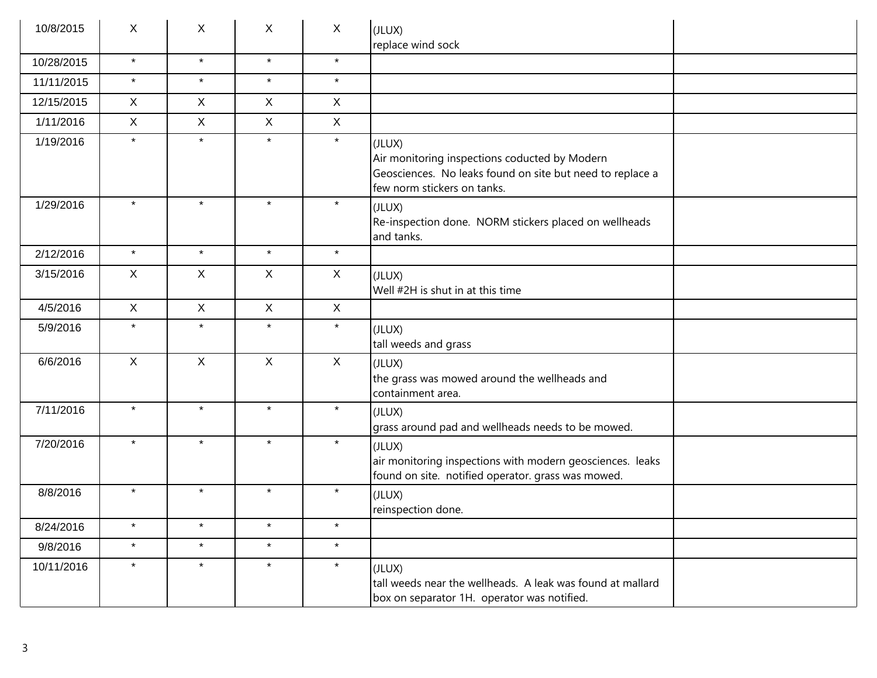| 10/8/2015  | X            | X            | $\mathsf{X}$ | $\sf X$      | (JLUX)<br>replace wind sock                                                                                                                         |
|------------|--------------|--------------|--------------|--------------|-----------------------------------------------------------------------------------------------------------------------------------------------------|
| 10/28/2015 | $\star$      | $\star$      | $\star$      | $\star$      |                                                                                                                                                     |
| 11/11/2015 | $\star$      | $\star$      | $\star$      | $\star$      |                                                                                                                                                     |
| 12/15/2015 | $\mathsf{X}$ | $\mathsf{X}$ | $\mathsf X$  | $\mathsf{X}$ |                                                                                                                                                     |
| 1/11/2016  | $\mathsf{X}$ | $\mathsf{X}$ | $\mathsf X$  | $\mathsf{X}$ |                                                                                                                                                     |
| 1/19/2016  | $\star$      | $\star$      | $\star$      | $\star$      | (JLUX)<br>Air monitoring inspections coducted by Modern<br>Geosciences. No leaks found on site but need to replace a<br>few norm stickers on tanks. |
| 1/29/2016  | $\star$      | $\star$      | $\star$      | $\star$      | (JLUX)<br>Re-inspection done. NORM stickers placed on wellheads<br>and tanks.                                                                       |
| 2/12/2016  | $\star$      | $\star$      | $\star$      | $\star$      |                                                                                                                                                     |
| 3/15/2016  | X            | X            | $\mathsf{X}$ | $\mathsf{X}$ | (JLUX)<br>Well #2H is shut in at this time                                                                                                          |
| 4/5/2016   | $\mathsf{X}$ | $\mathsf{X}$ | $\mathsf X$  | $\sf X$      |                                                                                                                                                     |
| 5/9/2016   | $\star$      | $\star$      | $\star$      | $\star$      | (JLUX)<br>tall weeds and grass                                                                                                                      |
| 6/6/2016   | $\mathsf{X}$ | X            | $\mathsf X$  | $\mathsf X$  | (JLUX)<br>the grass was mowed around the wellheads and<br>containment area.                                                                         |
| 7/11/2016  | $\star$      | $\star$      | $\star$      | $\star$      | (JLUX)<br>grass around pad and wellheads needs to be mowed.                                                                                         |
| 7/20/2016  | $\star$      | $\star$      | $\star$      | $\star$      | (JLUX)<br>air monitoring inspections with modern geosciences. leaks<br>found on site. notified operator. grass was mowed.                           |
| 8/8/2016   | $\star$      | $\star$      | $\star$      | $\star$      | (JLUX)<br>reinspection done.                                                                                                                        |
| 8/24/2016  | $\star$      | $\star$      | $\star$      | $\star$      |                                                                                                                                                     |
| 9/8/2016   | $\star$      | $\star$      | $\star$      | $\star$      |                                                                                                                                                     |
| 10/11/2016 | $\star$      | $\star$      | $\star$      | $\star$      | (JLUX)<br>tall weeds near the wellheads. A leak was found at mallard<br>box on separator 1H. operator was notified.                                 |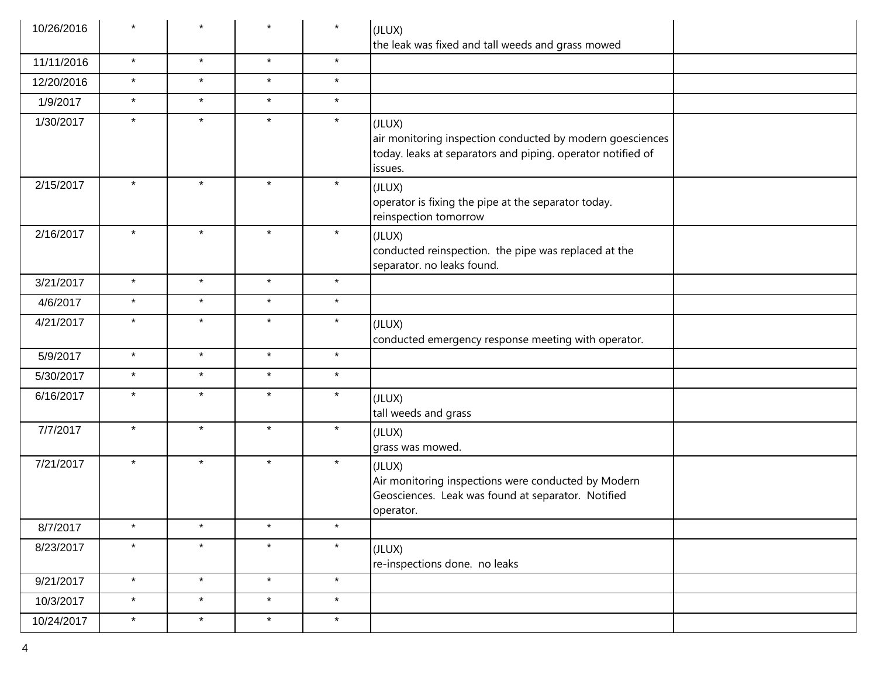| 10/26/2016 |         | $\star$ |         | $\star$ | (JLUX)<br>the leak was fixed and tall weeds and grass mowed                                                                                   |
|------------|---------|---------|---------|---------|-----------------------------------------------------------------------------------------------------------------------------------------------|
| 11/11/2016 | $\star$ | $\star$ | $\star$ | $\star$ |                                                                                                                                               |
| 12/20/2016 | $\star$ | $\star$ | $\star$ | $\star$ |                                                                                                                                               |
| 1/9/2017   | $\star$ | $\star$ | $\star$ | $\star$ |                                                                                                                                               |
| 1/30/2017  | $\star$ | $\star$ | $\star$ | $\star$ | (JLUX)<br>air monitoring inspection conducted by modern goesciences<br>today. leaks at separators and piping. operator notified of<br>issues. |
| 2/15/2017  | $\star$ | $\star$ | $\star$ | $\star$ | (JLUX)<br>operator is fixing the pipe at the separator today.<br>reinspection tomorrow                                                        |
| 2/16/2017  | $\star$ | $\star$ | $\star$ | $\star$ | (JLUX)<br>conducted reinspection. the pipe was replaced at the<br>separator. no leaks found.                                                  |
| 3/21/2017  | $\star$ | $\star$ | $\star$ | $\star$ |                                                                                                                                               |
| 4/6/2017   | $\star$ | $\star$ | $\star$ | $\star$ |                                                                                                                                               |
| 4/21/2017  | $\star$ | $\star$ | $\star$ | $\star$ | (JLUX)<br>conducted emergency response meeting with operator.                                                                                 |
| 5/9/2017   | $\star$ | $\star$ | $\star$ | $\star$ |                                                                                                                                               |
| 5/30/2017  | $\star$ | $\star$ | $\star$ | $\star$ |                                                                                                                                               |
| 6/16/2017  | $\star$ | $\star$ | $\star$ | $\star$ | (JLUX)<br>tall weeds and grass                                                                                                                |
| 7/7/2017   | $\star$ | $\star$ | $\star$ | $\star$ | (JLUX)<br>grass was mowed.                                                                                                                    |
| 7/21/2017  | $\star$ | $\star$ | $\star$ | $\star$ | (JLUX)<br>Air monitoring inspections were conducted by Modern<br>Geosciences. Leak was found at separator. Notified<br>operator.              |
| 8/7/2017   | $\star$ | $\star$ | $\star$ | $\star$ |                                                                                                                                               |
| 8/23/2017  | $\star$ | $\star$ | $\star$ | $\star$ | (JLUX)<br>re-inspections done. no leaks                                                                                                       |
| 9/21/2017  | $\star$ | $\star$ | $\star$ | $\star$ |                                                                                                                                               |
| 10/3/2017  | $\star$ | $\star$ | $\star$ | $\star$ |                                                                                                                                               |
| 10/24/2017 | $\star$ | $\star$ | $\star$ | $\star$ |                                                                                                                                               |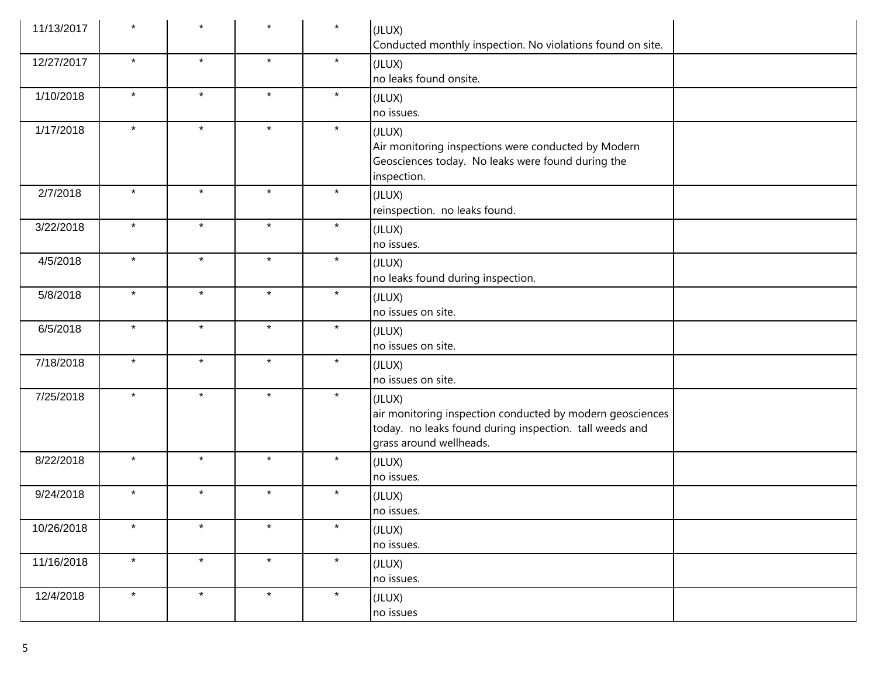| 11/13/2017 | $\star$ | $\star$ | $\star$ | $\star$ | (JLUX)<br>Conducted monthly inspection. No violations found on site.                                                                                      |
|------------|---------|---------|---------|---------|-----------------------------------------------------------------------------------------------------------------------------------------------------------|
| 12/27/2017 | $\star$ | $\star$ | $\star$ | $\star$ | (JLUX)<br>no leaks found onsite.                                                                                                                          |
| 1/10/2018  | $\star$ | $\star$ | $\star$ | $\star$ | (JLUX)<br>no issues.                                                                                                                                      |
| 1/17/2018  | $\star$ | $\star$ | $\star$ | $\star$ | (JLUX)<br>Air monitoring inspections were conducted by Modern<br>Geosciences today. No leaks were found during the<br>inspection.                         |
| 2/7/2018   | $\star$ | $\star$ | $\star$ | $\star$ | (JLUX)<br>reinspection. no leaks found.                                                                                                                   |
| 3/22/2018  | $\star$ | $\star$ | $\star$ | $\star$ | (JLUX)<br>no issues.                                                                                                                                      |
| 4/5/2018   | $\star$ | $\star$ | $\star$ | $\star$ | (JLUX)<br>no leaks found during inspection.                                                                                                               |
| 5/8/2018   | $\star$ | $\star$ | $\star$ | $\star$ | (JLUX)<br>no issues on site.                                                                                                                              |
| 6/5/2018   | $\star$ | $\star$ | $\star$ | $\star$ | (JLUX)<br>no issues on site.                                                                                                                              |
| 7/18/2018  | $\star$ | $\star$ | $\star$ | $\star$ | (JLUX)<br>no issues on site.                                                                                                                              |
| 7/25/2018  | $\star$ | $\star$ | $\star$ | $\star$ | (JLUX)<br>air monitoring inspection conducted by modern geosciences<br>today. no leaks found during inspection. tall weeds and<br>grass around wellheads. |
| 8/22/2018  | $\star$ | $\star$ | $\star$ | $\star$ | (JLUX)<br>no issues.                                                                                                                                      |
| 9/24/2018  | $\star$ | $\star$ | $\star$ | $\star$ | (JLUX)<br>no issues.                                                                                                                                      |
| 10/26/2018 | $\star$ | $\star$ | $\star$ | $\star$ | (JLUX)<br>no issues.                                                                                                                                      |
| 11/16/2018 | $\star$ | $\star$ | $\star$ | $\star$ | (JLUX)<br>no issues.                                                                                                                                      |
| 12/4/2018  | $\star$ | $\star$ | $\star$ | $\star$ | (JLUX)<br>no issues                                                                                                                                       |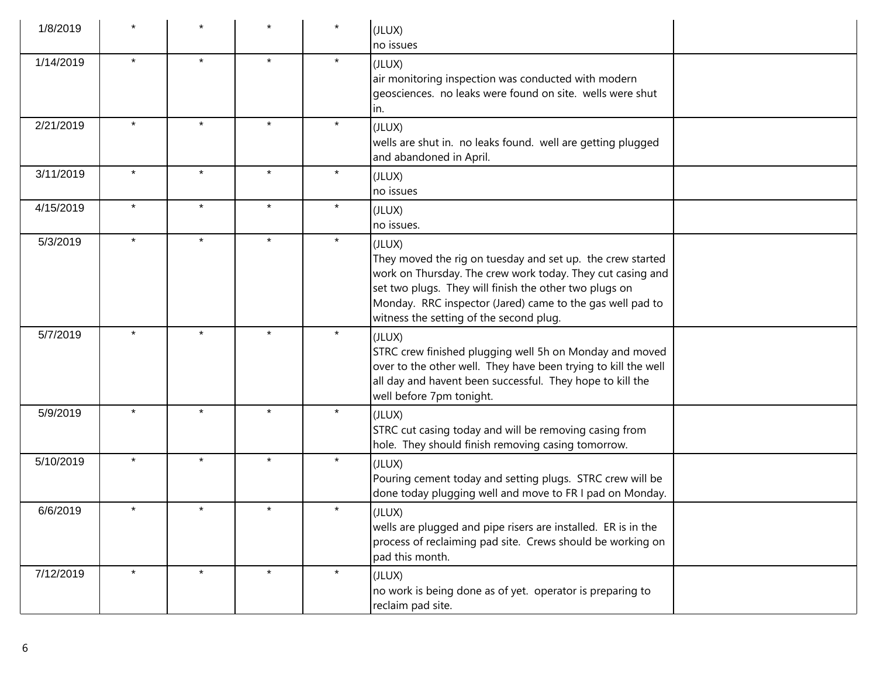| 1/8/2019  |         |         |         |         | (JLUX)<br>no issues                                                                                                                                                                                                                                                                                  |
|-----------|---------|---------|---------|---------|------------------------------------------------------------------------------------------------------------------------------------------------------------------------------------------------------------------------------------------------------------------------------------------------------|
| 1/14/2019 | $\star$ | $\star$ | $\star$ | $\star$ | (JLUX)<br>air monitoring inspection was conducted with modern<br>geosciences. no leaks were found on site. wells were shut<br>lin.                                                                                                                                                                   |
| 2/21/2019 | $\star$ | $\star$ | $\star$ | $\star$ | (JLUX)<br>wells are shut in. no leaks found. well are getting plugged<br>and abandoned in April.                                                                                                                                                                                                     |
| 3/11/2019 | $\star$ | $\star$ | $\star$ | $\star$ | (JLUX)<br>no issues                                                                                                                                                                                                                                                                                  |
| 4/15/2019 | $\star$ | $\star$ | $\star$ | $\star$ | (JLUX)<br>no issues.                                                                                                                                                                                                                                                                                 |
| 5/3/2019  | $\star$ | $\star$ | $\star$ | $\star$ | (JLUX)<br>They moved the rig on tuesday and set up. the crew started<br>work on Thursday. The crew work today. They cut casing and<br>set two plugs. They will finish the other two plugs on<br>Monday. RRC inspector (Jared) came to the gas well pad to<br>witness the setting of the second plug. |
| 5/7/2019  | $\star$ | $\star$ | $\star$ | $\star$ | (JLUX)<br>STRC crew finished plugging well 5h on Monday and moved<br>over to the other well. They have been trying to kill the well<br>all day and havent been successful. They hope to kill the<br>well before 7pm tonight.                                                                         |
| 5/9/2019  | $\star$ | $\star$ |         | $\star$ | (JLUX)<br>STRC cut casing today and will be removing casing from<br>hole. They should finish removing casing tomorrow.                                                                                                                                                                               |
| 5/10/2019 | $\star$ | $\star$ | $\star$ | $\star$ | (JLUX)<br>Pouring cement today and setting plugs. STRC crew will be<br>done today plugging well and move to FR I pad on Monday.                                                                                                                                                                      |
| 6/6/2019  | $\star$ | $\star$ | $\star$ | $\star$ | (JLUX)<br>wells are plugged and pipe risers are installed. ER is in the<br>process of reclaiming pad site. Crews should be working on<br>pad this month.                                                                                                                                             |
| 7/12/2019 | $\star$ | $\star$ |         | $\star$ | (JLUX)<br>no work is being done as of yet. operator is preparing to<br>reclaim pad site.                                                                                                                                                                                                             |